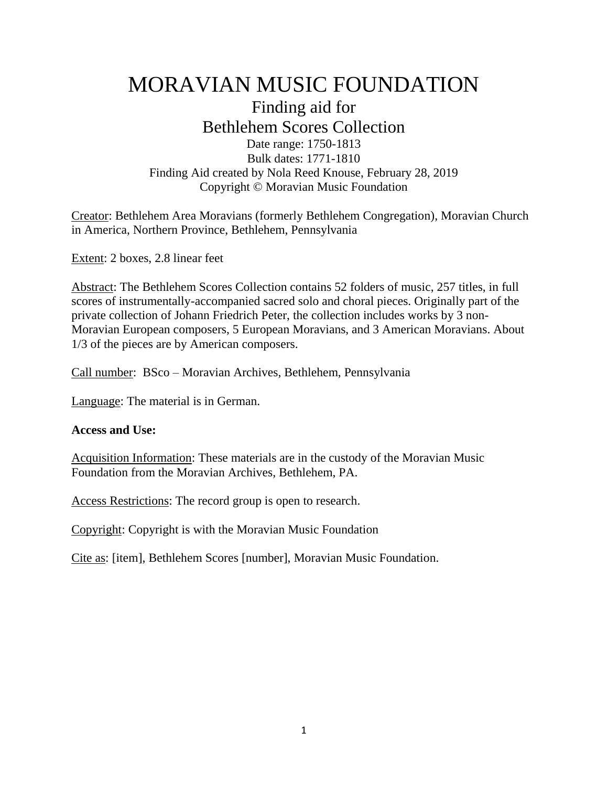# MORAVIAN MUSIC FOUNDATION Finding aid for

Bethlehem Scores Collection Date range: 1750-1813 Bulk dates: 1771-1810 Finding Aid created by Nola Reed Knouse, February 28, 2019 Copyright © Moravian Music Foundation

Creator: Bethlehem Area Moravians (formerly Bethlehem Congregation), Moravian Church in America, Northern Province, Bethlehem, Pennsylvania

Extent: 2 boxes, 2.8 linear feet

Abstract: The Bethlehem Scores Collection contains 52 folders of music, 257 titles, in full scores of instrumentally-accompanied sacred solo and choral pieces. Originally part of the private collection of Johann Friedrich Peter, the collection includes works by 3 non-Moravian European composers, 5 European Moravians, and 3 American Moravians. About 1/3 of the pieces are by American composers.

Call number: BSco – Moravian Archives, Bethlehem, Pennsylvania

Language: The material is in German.

#### **Access and Use:**

Acquisition Information: These materials are in the custody of the Moravian Music Foundation from the Moravian Archives, Bethlehem, PA.

Access Restrictions: The record group is open to research.

Copyright: Copyright is with the Moravian Music Foundation

Cite as: [item], Bethlehem Scores [number], Moravian Music Foundation.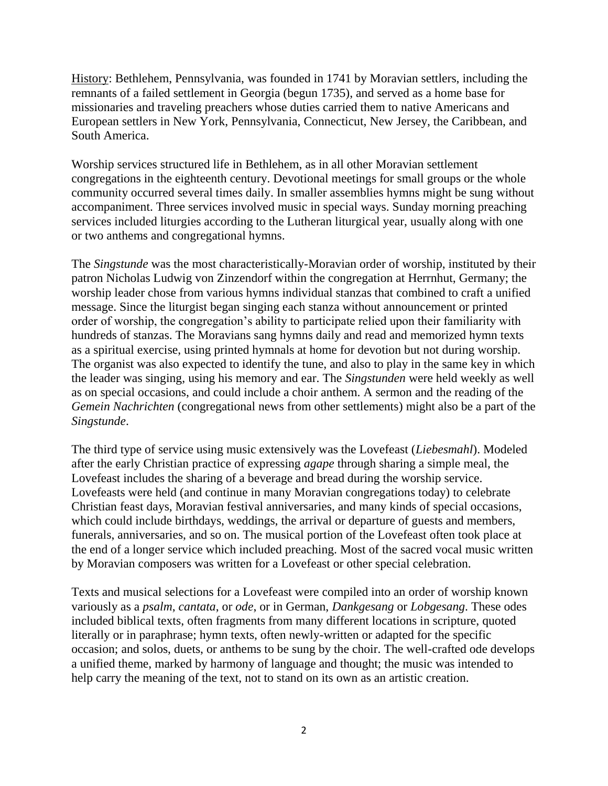History: Bethlehem, Pennsylvania, was founded in 1741 by Moravian settlers, including the remnants of a failed settlement in Georgia (begun 1735), and served as a home base for missionaries and traveling preachers whose duties carried them to native Americans and European settlers in New York, Pennsylvania, Connecticut, New Jersey, the Caribbean, and South America.

Worship services structured life in Bethlehem, as in all other Moravian settlement congregations in the eighteenth century. Devotional meetings for small groups or the whole community occurred several times daily. In smaller assemblies hymns might be sung without accompaniment. Three services involved music in special ways. Sunday morning preaching services included liturgies according to the Lutheran liturgical year, usually along with one or two anthems and congregational hymns.

The *Singstunde* was the most characteristically-Moravian order of worship, instituted by their patron Nicholas Ludwig von Zinzendorf within the congregation at Herrnhut, Germany; the worship leader chose from various hymns individual stanzas that combined to craft a unified message. Since the liturgist began singing each stanza without announcement or printed order of worship, the congregation's ability to participate relied upon their familiarity with hundreds of stanzas. The Moravians sang hymns daily and read and memorized hymn texts as a spiritual exercise, using printed hymnals at home for devotion but not during worship. The organist was also expected to identify the tune, and also to play in the same key in which the leader was singing, using his memory and ear. The *Singstunden* were held weekly as well as on special occasions, and could include a choir anthem. A sermon and the reading of the *Gemein Nachrichten* (congregational news from other settlements) might also be a part of the *Singstunde*.

The third type of service using music extensively was the Lovefeast (*Liebesmahl*). Modeled after the early Christian practice of expressing *agape* through sharing a simple meal, the Lovefeast includes the sharing of a beverage and bread during the worship service. Lovefeasts were held (and continue in many Moravian congregations today) to celebrate Christian feast days, Moravian festival anniversaries, and many kinds of special occasions, which could include birthdays, weddings, the arrival or departure of guests and members, funerals, anniversaries, and so on. The musical portion of the Lovefeast often took place at the end of a longer service which included preaching. Most of the sacred vocal music written by Moravian composers was written for a Lovefeast or other special celebration.

Texts and musical selections for a Lovefeast were compiled into an order of worship known variously as a *psalm*, *cantata*, or *ode*, or in German, *Dankgesang* or *Lobgesang*. These odes included biblical texts, often fragments from many different locations in scripture, quoted literally or in paraphrase; hymn texts, often newly-written or adapted for the specific occasion; and solos, duets, or anthems to be sung by the choir. The well-crafted ode develops a unified theme, marked by harmony of language and thought; the music was intended to help carry the meaning of the text, not to stand on its own as an artistic creation.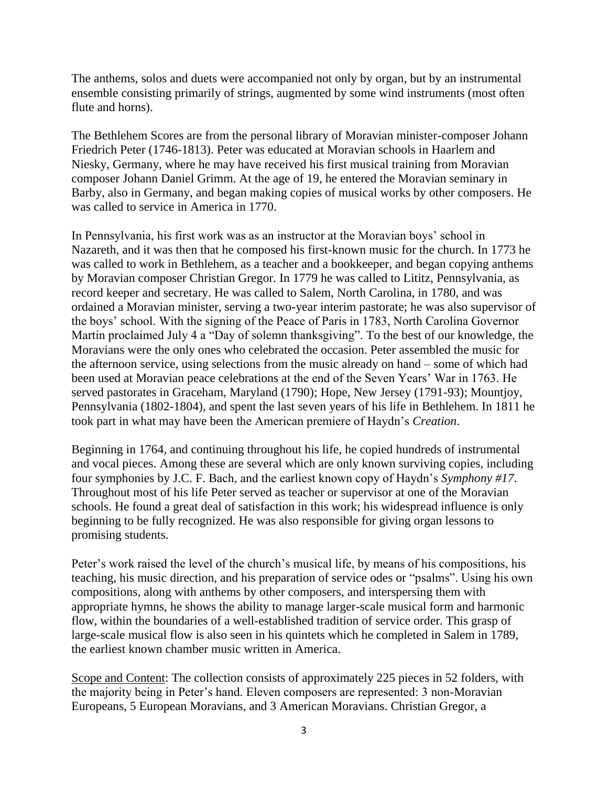The anthems, solos and duets were accompanied not only by organ, but by an instrumental ensemble consisting primarily of strings, augmented by some wind instruments (most often flute and horns).

The Bethlehem Scores are from the personal library of Moravian minister-composer Johann Friedrich Peter (1746-1813). Peter was educated at Moravian schools in Haarlem and Niesky, Germany, where he may have received his first musical training from Moravian composer Johann Daniel Grimm. At the age of 19, he entered the Moravian seminary in Barby, also in Germany, and began making copies of musical works by other composers. He was called to service in America in 1770.

In Pennsylvania, his first work was as an instructor at the Moravian boys' school in Nazareth, and it was then that he composed his first-known music for the church. In 1773 he was called to work in Bethlehem, as a teacher and a bookkeeper, and began copying anthems by Moravian composer Christian Gregor. In 1779 he was called to Lititz, Pennsylvania, as record keeper and secretary. He was called to Salem, North Carolina, in 1780, and was ordained a Moravian minister, serving a two-year interim pastorate; he was also supervisor of the boys' school. With the signing of the Peace of Paris in 1783, North Carolina Governor Martin proclaimed July 4 a "Day of solemn thanksgiving". To the best of our knowledge, the Moravians were the only ones who celebrated the occasion. Peter assembled the music for the afternoon service, using selections from the music already on hand – some of which had been used at Moravian peace celebrations at the end of the Seven Years' War in 1763. He served pastorates in Graceham, Maryland (1790); Hope, New Jersey (1791-93); Mountjoy, Pennsylvania (1802-1804), and spent the last seven years of his life in Bethlehem. In 1811 he took part in what may have been the American premiere of Haydn's *Creation*.

Beginning in 1764, and continuing throughout his life, he copied hundreds of instrumental and vocal pieces. Among these are several which are only known surviving copies, including four symphonies by J.C. F. Bach, and the earliest known copy of Haydn's *Symphony #17*. Throughout most of his life Peter served as teacher or supervisor at one of the Moravian schools. He found a great deal of satisfaction in this work; his widespread influence is only beginning to be fully recognized. He was also responsible for giving organ lessons to promising students.

Peter's work raised the level of the church's musical life, by means of his compositions, his teaching, his music direction, and his preparation of service odes or "psalms". Using his own compositions, along with anthems by other composers, and interspersing them with appropriate hymns, he shows the ability to manage larger-scale musical form and harmonic flow, within the boundaries of a well-established tradition of service order. This grasp of large-scale musical flow is also seen in his quintets which he completed in Salem in 1789, the earliest known chamber music written in America.

Scope and Content: The collection consists of approximately 225 pieces in 52 folders, with the majority being in Peter's hand. Eleven composers are represented: 3 non-Moravian Europeans, 5 European Moravians, and 3 American Moravians. Christian Gregor, a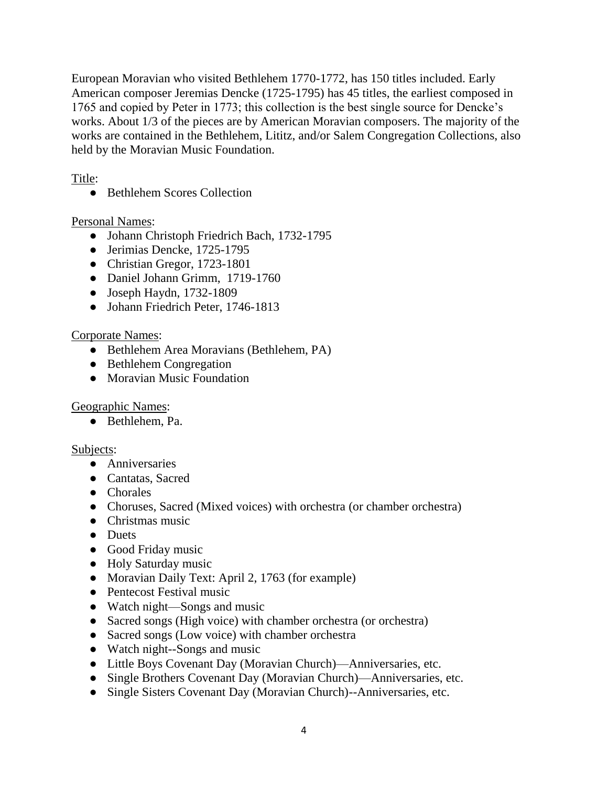European Moravian who visited Bethlehem 1770-1772, has 150 titles included. Early American composer Jeremias Dencke (1725-1795) has 45 titles, the earliest composed in 1765 and copied by Peter in 1773; this collection is the best single source for Dencke's works. About 1/3 of the pieces are by American Moravian composers. The majority of the works are contained in the Bethlehem, Lititz, and/or Salem Congregation Collections, also held by the Moravian Music Foundation.

Title:

● Bethlehem Scores Collection

Personal Names:

- Johann Christoph Friedrich Bach, 1732-1795
- Jerimias Dencke, 1725-1795
- Christian Gregor, 1723-1801
- Daniel Johann Grimm, 1719-1760
- $\bullet$  Joseph Haydn, 1732-1809
- Johann Friedrich Peter, 1746-1813

## Corporate Names:

- Bethlehem Area Moravians (Bethlehem, PA)
- Bethlehem Congregation
- Moravian Music Foundation

## Geographic Names:

● Bethlehem, Pa.

#### Subjects:

- Anniversaries
- Cantatas, Sacred
- Chorales
- Choruses, Sacred (Mixed voices) with orchestra (or chamber orchestra)
- Christmas music
- Duets
- Good Friday music
- Holy Saturday music
- Moravian Daily Text: April 2, 1763 (for example)
- Pentecost Festival music
- Watch night—Songs and music
- Sacred songs (High voice) with chamber orchestra (or orchestra)
- Sacred songs (Low voice) with chamber orchestra
- Watch night--Songs and music
- Little Boys Covenant Day (Moravian Church)—Anniversaries, etc.
- Single Brothers Covenant Day (Moravian Church)—Anniversaries, etc.
- Single Sisters Covenant Day (Moravian Church)--Anniversaries, etc.